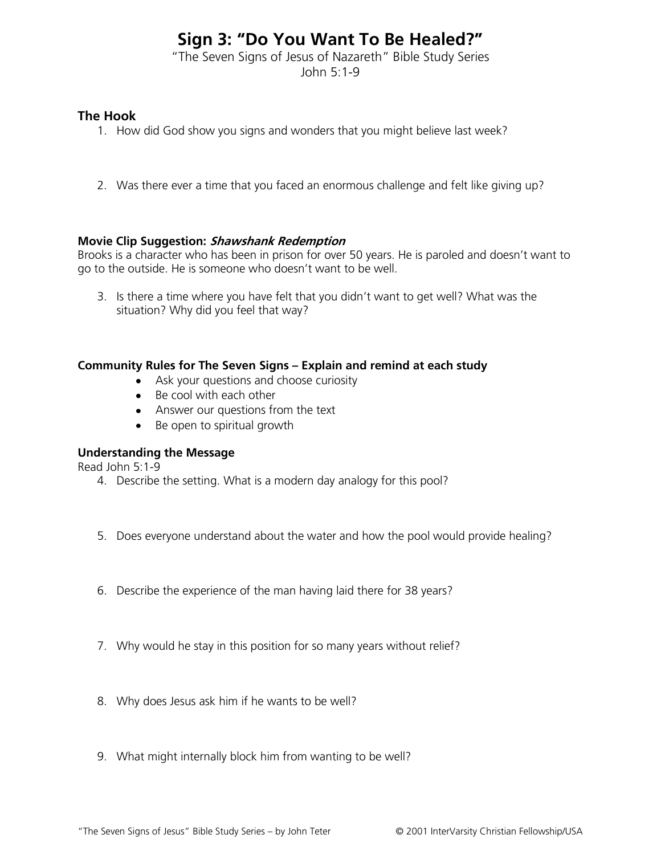# **Sign 3: "Do You Want To Be Healed?"**

"The Seven Signs of Jesus of Nazareth" Bible Study Series John 5:1-9

# **The Hook**

- 1. How did God show you signs and wonders that you might believe last week?
- 2. Was there ever a time that you faced an enormous challenge and felt like giving up?

## **Movie Clip Suggestion: Shawshank Redemption**

Brooks is a character who has been in prison for over 50 years. He is paroled and doesn't want to go to the outside. He is someone who doesn't want to be well.

3. Is there a time where you have felt that you didn't want to get well? What was the situation? Why did you feel that way?

## **Community Rules for The Seven Signs – Explain and remind at each study**

- Ask your questions and choose curiosity
- Be cool with each other
- Answer our questions from the text
- Be open to spiritual growth

# **Understanding the Message**

Read John 5:1-9

- 4. Describe the setting. What is a modern day analogy for this pool?
- 5. Does everyone understand about the water and how the pool would provide healing?
- 6. Describe the experience of the man having laid there for 38 years?
- 7. Why would he stay in this position for so many years without relief?
- 8. Why does Jesus ask him if he wants to be well?
- 9. What might internally block him from wanting to be well?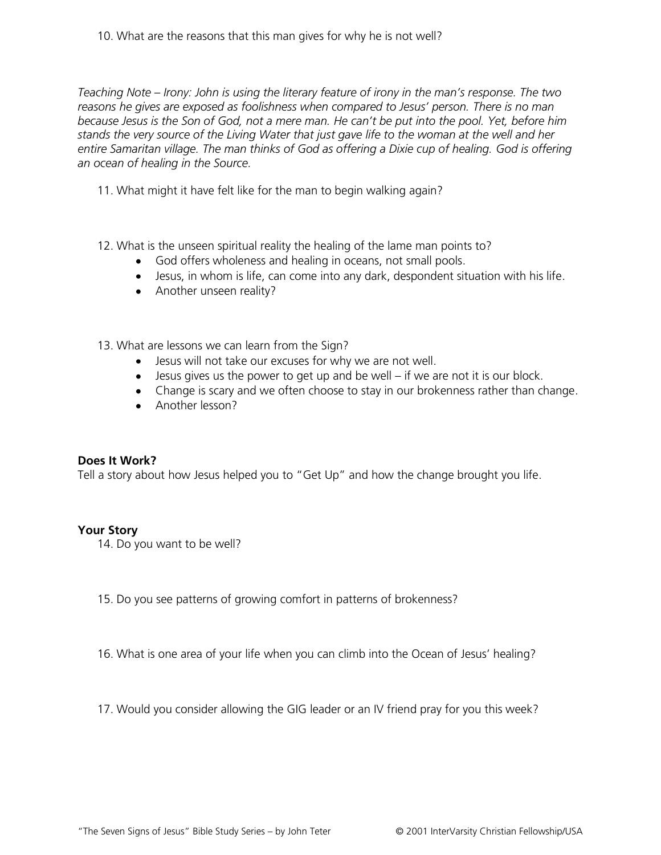*Teaching Note – Irony: John is using the literary feature of irony in the man's response. The two reasons he gives are exposed as foolishness when compared to Jesus' person. There is no man because Jesus is the Son of God, not a mere man. He can't be put into the pool. Yet, before him stands the very source of the Living Water that just gave life to the woman at the well and her entire Samaritan village. The man thinks of God as offering a Dixie cup of healing. God is offering an ocean of healing in the Source.*

- 11. What might it have felt like for the man to begin walking again?
- 12. What is the unseen spiritual reality the healing of the lame man points to?
	- God offers wholeness and healing in oceans, not small pools.
	- Jesus, in whom is life, can come into any dark, despondent situation with his life.
	- Another unseen reality?
- 13. What are lessons we can learn from the Sign?
	- Jesus will not take our excuses for why we are not well.
	- $\bullet$  Jesus gives us the power to get up and be well if we are not it is our block.
	- Change is scary and we often choose to stay in our brokenness rather than change.
	- Another lesson?

#### **Does It Work?**

Tell a story about how Jesus helped you to "Get Up" and how the change brought you life.

#### **Your Story**

- 14. Do you want to be well?
- 15. Do you see patterns of growing comfort in patterns of brokenness?
- 16. What is one area of your life when you can climb into the Ocean of Jesus' healing?
- 17. Would you consider allowing the GIG leader or an IV friend pray for you this week?